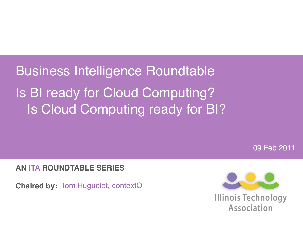Business Intelligence Roundtable Is BI ready for Cloud Computing? Is Cloud Computing ready for BI?

09 Feb 2011

**AN ITA ROUNDTABLE SERIES**

**Chaired by:** Tom Huguelet, contextQ

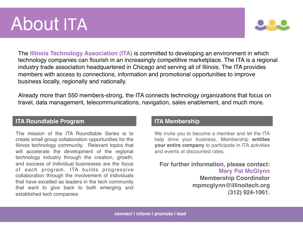### About ITA



The **Illinois Technology Association (ITA)** is committed to developing an environment in which technology companies can flourish in an increasingly competitive marketplace. The ITA is a regional industry trade association headquartered in Chicago and serving all of Illinois. The ITA provides members with access to connections, information and promotional opportunities to improve business locally, regionally and nationally.

Already more than 550 members-strong, the ITA connects technology organizations that focus on travel, data management, telecommunications, navigation, sales enablement, and much more.

#### **ITA Roundtable Program**

The mission of the ITA Roundtable Series is to create small group collaboration opportunities for the Illinois technology community. Relevant topics that will accelerate the development of the regional technology industry through the creation, growth, and success of individual businesses are the focus of each program. ITA builds progressive collaboration through the involvement of individuals that have excelled as leaders in the tech community that want to give back to both emerging and established tech companies.

#### **ITA Membership**

We invite you to become a member and let the ITA help drive your business. Membership **entitles your entire company** to participate in ITA activities and events at discounted rates.

**For further information, please contact: Mary Pat McGlynn Membership Coordinator mpmcglynn@illinoitech.org (312) 924-1061.**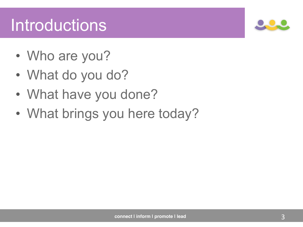#### Introductions

- Who are you?
- What do you do?
- What have you done?
- What brings you here today?

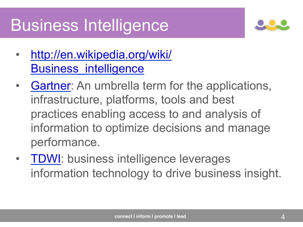#### Business Intelligence



- http://en.wikipedia.org/wiki/ Business intelligence
- Gartner: An umbrella term for the applications, infrastructure, platforms, tools and best practices enabling access to and analysis of information to optimize decisions and manage performance.
- TDWI: business intelligence leverages information technology to drive business insight.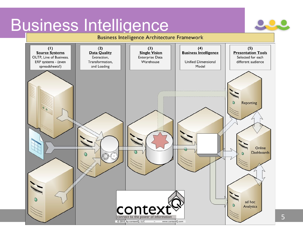# Business Intelligence

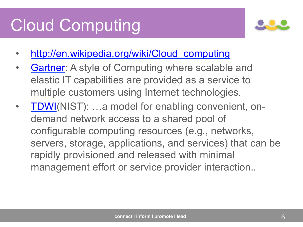#### Cloud Computing



- http://en.wikipedia.org/wiki/Cloud\_computing
- Gartner: A style of Computing where scalable and elastic IT capabilities are provided as a service to multiple customers using Internet technologies.
- TDWI(NIST): ...a model for enabling convenient, ondemand network access to a shared pool of configurable computing resources (e.g., networks, servers, storage, applications, and services) that can be rapidly provisioned and released with minimal management effort or service provider interaction..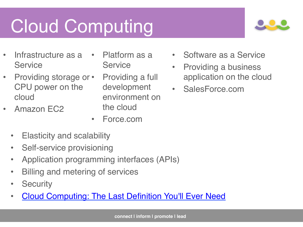# Cloud Computing



- Infrastructure as a Service
- Providing storage or CPU power on the cloud
- Amazon EC2
- Platform as a **Service**
- Providing a full development environment on the cloud
- Force.com
- Elasticity and scalability
- Self-service provisioning
- Application programming interfaces (APIs)
- Billing and metering of services
- Security
- Cloud Computing: The Last Definition You'll Ever Need
- Software as a Service
- Providing a business application on the cloud
- SalesForce.com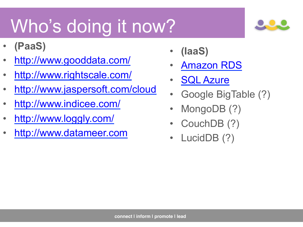# Who's doing it now?

- **(PaaS)**
- http://www.gooddata.com/
- http://www.rightscale.com/
- http://www.jaspersoft.com/cloud
- http://www.indicee.com/
- http://www.loggly.com/
- http://www.datameer.com
- **(IaaS)**
- Amazon RDS
- **SQL Azure**
- Google BigTable (?)
- MongoDB (?)
- CouchDB (?)
- LucidDB (?)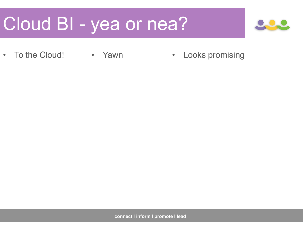### Cloud BI - yea or nea?



• To the Cloud! • Yawn • Looks promising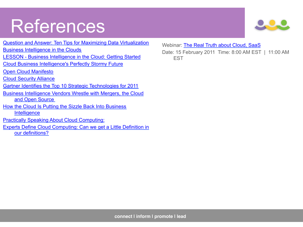#### References



Webinar: The Real Truth about Cloud, SaaS Date: 15 February 2011 Time: 8:00 AM EST | 11:00 AM EST